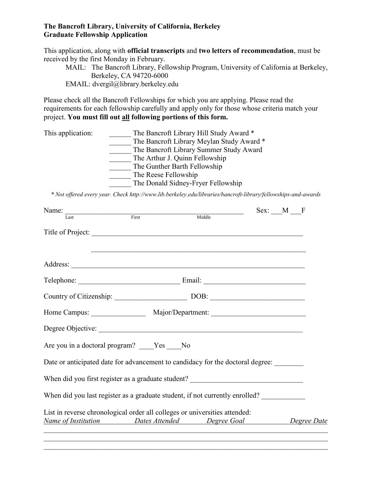#### **The Bancroft Library, University of California, Berkeley Graduate Fellowship Application**

This application, along with **official transcripts** and **two letters of recommendation**, must be received by the first Monday in February.

MAIL: The Bancroft Library, Fellowship Program, University of California at Berkeley, Berkeley, CA 94720-6000 EMAIL: dvergil@library.berkeley.edu

Please check all the Bancroft Fellowships for which you are applying. Please read the requirements for each fellowship carefully and apply only for those whose criteria match your project. **You must fill out all following portions of this form.**

| This application: | The Bancroft Library Hill Study Award *   |
|-------------------|-------------------------------------------|
|                   | The Bancroft Library Meylan Study Award * |
|                   | The Bancroft Library Summer Study Award   |
|                   | The Arthur J. Quinn Fellowship            |
|                   | The Gunther Barth Fellowship              |
|                   | The Reese Fellowship                      |
|                   | The Donald Sidney-Fryer Fellowship        |

*\* Not offered every year. Check http://www.lib.berkeley.edu/libraries/bancroft-library/fellowships-and-awards*

| Name:                                                                             |                                                                                                                      | Sex: M F |  |
|-----------------------------------------------------------------------------------|----------------------------------------------------------------------------------------------------------------------|----------|--|
|                                                                                   | Middle                                                                                                               |          |  |
| Title of Project:                                                                 |                                                                                                                      |          |  |
|                                                                                   | <u> 1989 - Johann John Stone, markin sanat masjid ayyı bir alan bir alan bir alan bir alan bir alan bir alan bir</u> |          |  |
|                                                                                   |                                                                                                                      |          |  |
|                                                                                   |                                                                                                                      |          |  |
| Country of Citizenship: DOB: DOB:                                                 |                                                                                                                      |          |  |
|                                                                                   |                                                                                                                      |          |  |
|                                                                                   |                                                                                                                      |          |  |
| Are you in a doctoral program? ____Yes ____ No                                    |                                                                                                                      |          |  |
| Date or anticipated date for advancement to candidacy for the doctoral degree:    |                                                                                                                      |          |  |
| When did you first register as a graduate student? ______________________________ |                                                                                                                      |          |  |
| When did you last register as a graduate student, if not currently enrolled?      |                                                                                                                      |          |  |
| List in reverse chronological order all colleges or universities attended:        |                                                                                                                      |          |  |
| Name of Institution <b>Dates Attended</b> Degree Goal Degree Date                 |                                                                                                                      |          |  |

\_\_\_\_\_\_\_\_\_\_\_\_\_\_\_\_\_\_\_\_\_\_\_\_\_\_\_\_\_\_\_\_\_\_\_\_\_\_\_\_\_\_\_\_\_\_\_\_\_\_\_\_\_\_\_\_\_\_\_\_\_\_\_\_\_\_\_\_\_\_\_\_\_\_\_\_\_\_